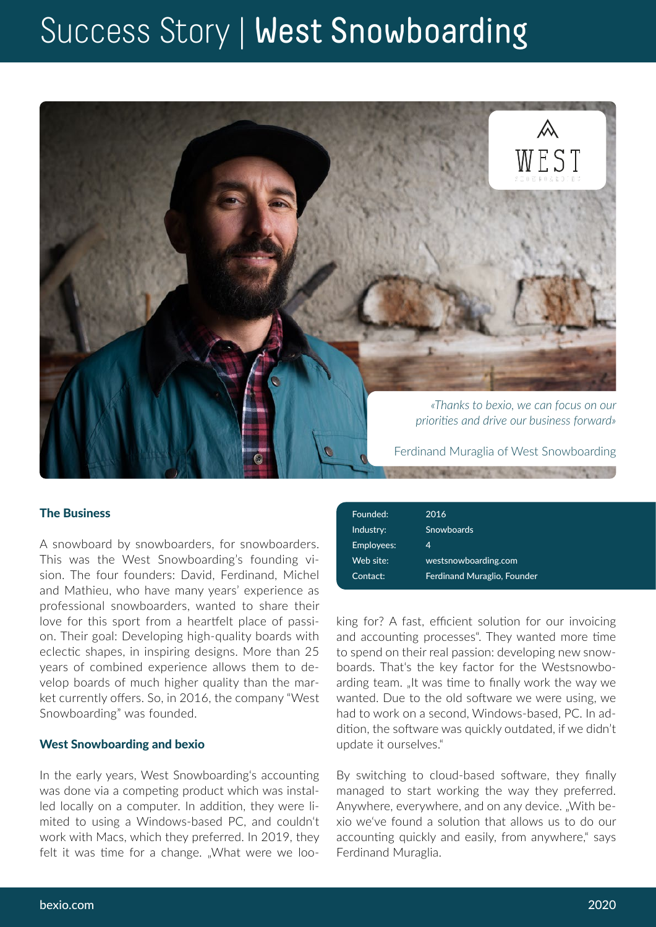# Success Story | West Snowboarding



### The Business

A snowboard by snowboarders, for snowboarders. This was the West Snowboarding's founding vision. The four founders: David, Ferdinand, Michel and Mathieu, who have many years' experience as professional snowboarders, wanted to share their love for this sport from a heartfelt place of passion. Their goal: Developing high-quality boards with eclectic shapes, in inspiring designs. More than 25 years of combined experience allows them to develop boards of much higher quality than the market currently offers. So, in 2016, the company "West Snowboarding" was founded.

#### West Snowboarding and bexio

In the early years, West Snowboarding's accounting was done via a competing product which was installed locally on a computer. In addition, they were limited to using a Windows-based PC, and couldn't work with Macs, which they preferred. In 2019, they felt it was time for a change. "What were we loo-

| Founded:   | 2016                               |
|------------|------------------------------------|
| Industry:  | <b>Snowboards</b>                  |
| Employees: | 4                                  |
| Web site:  | westsnowboarding.com               |
| Contact:   | <b>Ferdinand Muraglio, Founder</b> |

king for? A fast, efficient solution for our invoicing and accounting processes". They wanted more time to spend on their real passion: developing new snowboards. That's the key factor for the Westsnowboarding team. "It was time to finally work the way we wanted. Due to the old software we were using, we had to work on a second, Windows-based, PC. In addition, the software was quickly outdated, if we didn't update it ourselves."

By switching to cloud-based software, they finally managed to start working the way they preferred. Anywhere, everywhere, and on any device. "With bexio we've found a solution that allows us to do our accounting quickly and easily, from anywhere," says Ferdinand Muraglia.